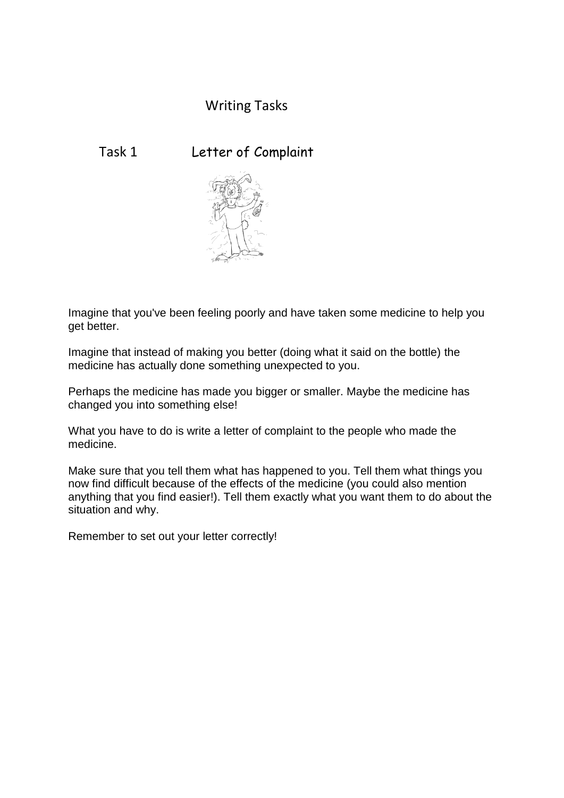## Writing Tasks

## Task 1 Letter of Complaint



Imagine that you've been feeling poorly and have taken some medicine to help you get better.

Imagine that instead of making you better (doing what it said on the bottle) the medicine has actually done something unexpected to you.

Perhaps the medicine has made you bigger or smaller. Maybe the medicine has changed you into something else!

What you have to do is write a letter of complaint to the people who made the medicine.

Make sure that you tell them what has happened to you. Tell them what things you now find difficult because of the effects of the medicine (you could also mention anything that you find easier!). Tell them exactly what you want them to do about the situation and why.

Remember to set out your letter correctly!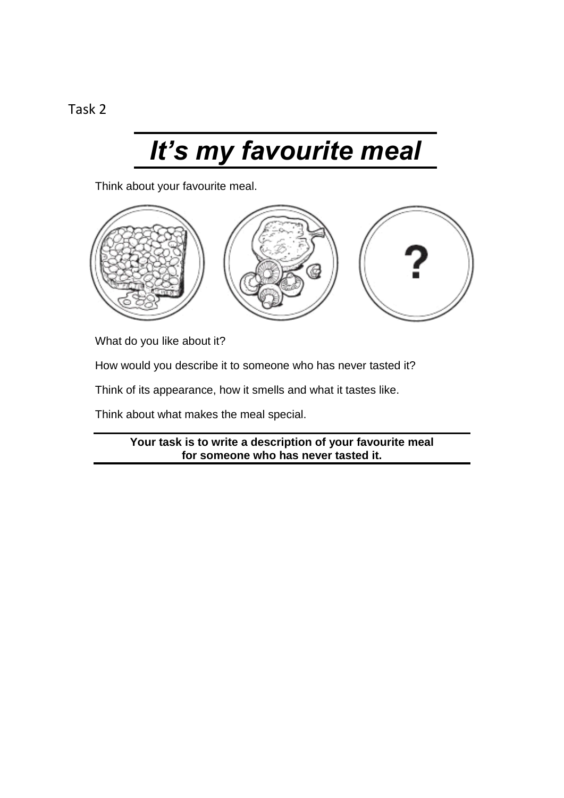## *It's my favourite meal*

Think about your favourite meal.



What do you like about it?

How would you describe it to someone who has never tasted it?

Think of its appearance, how it smells and what it tastes like.

Think about what makes the meal special.

**Your task is to write a description of your favourite meal for someone who has never tasted it.**